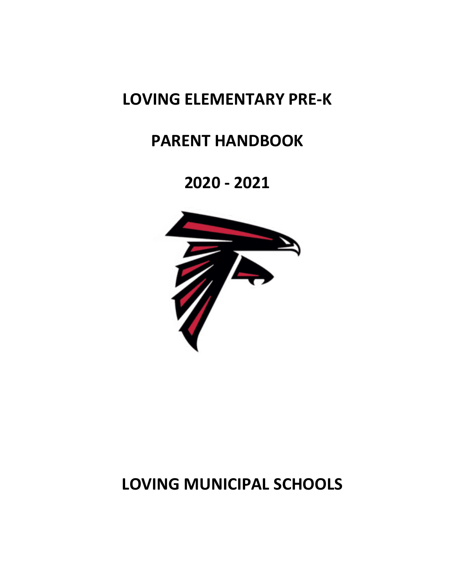## **LOVING ELEMENTARY PRE-K**

## **PARENT HANDBOOK**

**2020 - 2021**



# **LOVING MUNICIPAL SCHOOLS**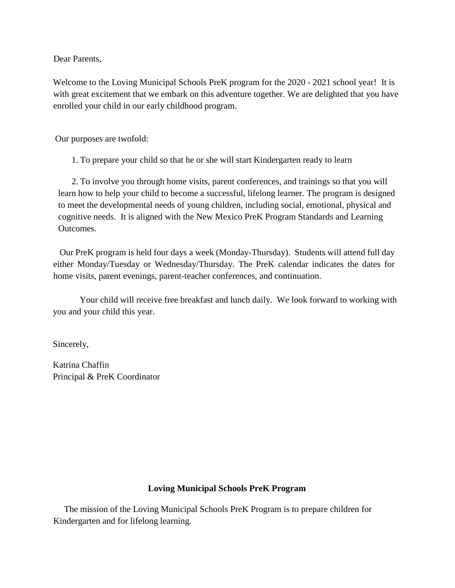Dear Parents,

Welcome to the Loving Municipal Schools PreK program for the 2020 - 2021 school year! It is with great excitement that we embark on this adventure together. We are delighted that you have enrolled your child in our early childhood program.

Our purposes are twofold:

1. To prepare your child so that he or she will start Kindergarten ready to learn

2. To involve you through home visits, parent conferences, and trainings so that you will learn how to help your child to become a successful, lifelong learner. The program is designed to meet the developmental needs of young children, including social, emotional, physical and cognitive needs. It is aligned with the New Mexico PreK Program Standards and Learning Outcomes.

 Our PreK program is held four days a week (Monday-Thursday). Students will attend full day either Monday/Tuesday or Wednesday/Thursday. The PreK calendar indicates the dates for home visits, parent evenings, parent-teacher conferences, and continuation.

Your child will receive free breakfast and lunch daily. We look forward to working with you and your child this year.

Sincerely,

Katrina Chaffin Principal & PreK Coordinator

#### **Loving Municipal Schools PreK Program**

 The mission of the Loving Municipal Schools PreK Program is to prepare children for Kindergarten and for lifelong learning.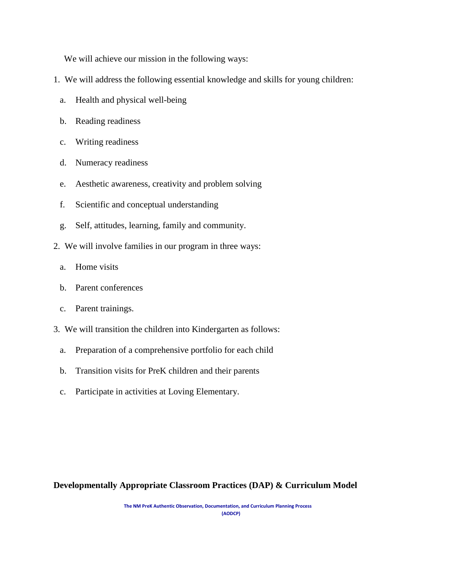We will achieve our mission in the following ways:

- 1. We will address the following essential knowledge and skills for young children:
	- a. Health and physical well-being
	- b. Reading readiness
	- c. Writing readiness
	- d. Numeracy readiness
	- e. Aesthetic awareness, creativity and problem solving
	- f. Scientific and conceptual understanding
	- g. Self, attitudes, learning, family and community.
- 2. We will involve families in our program in three ways:
	- a. Home visits
	- b. Parent conferences
	- c. Parent trainings.
- 3. We will transition the children into Kindergarten as follows:
	- a. Preparation of a comprehensive portfolio for each child
	- b. Transition visits for PreK children and their parents
	- c. Participate in activities at Loving Elementary.

#### **Developmentally Appropriate Classroom Practices (DAP) & Curriculum Model**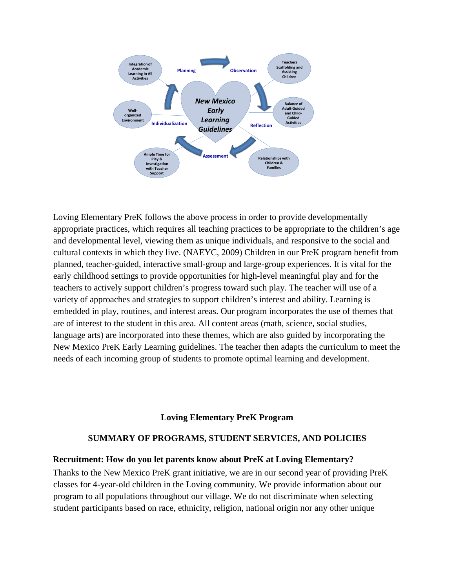

Loving Elementary PreK follows the above process in order to provide developmentally appropriate practices, which requires all teaching practices to be appropriate to the children's age and developmental level, viewing them as unique individuals, and responsive to the social and cultural contexts in which they live. (NAEYC, 2009) Children in our PreK program benefit from planned, teacher-guided, interactive small-group and large-group experiences. It is vital for the early childhood settings to provide opportunities for high-level meaningful play and for the teachers to actively support children's progress toward such play. The teacher will use of a variety of approaches and strategies to support children's interest and ability. Learning is embedded in play, routines, and interest areas. Our program incorporates the use of themes that are of interest to the student in this area. All content areas (math, science, social studies, language arts) are incorporated into these themes, which are also guided by incorporating the New Mexico PreK Early Learning guidelines. The teacher then adapts the curriculum to meet the needs of each incoming group of students to promote optimal learning and development.

#### **Loving Elementary PreK Program**

#### **SUMMARY OF PROGRAMS, STUDENT SERVICES, AND POLICIES**

#### **Recruitment: How do you let parents know about PreK at Loving Elementary?**

Thanks to the New Mexico PreK grant initiative, we are in our second year of providing PreK classes for 4-year-old children in the Loving community. We provide information about our program to all populations throughout our village. We do not discriminate when selecting student participants based on race, ethnicity, religion, national origin nor any other unique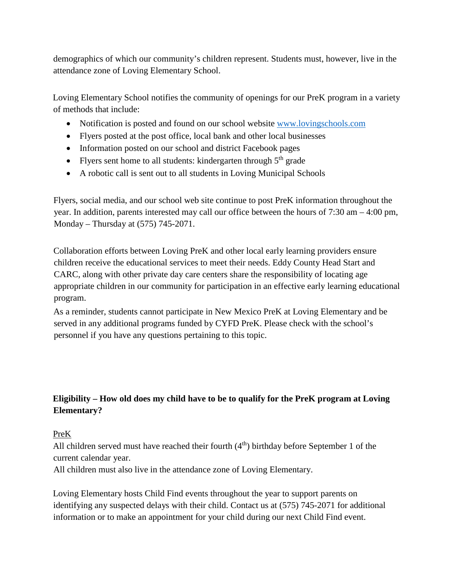demographics of which our community's children represent. Students must, however, live in the attendance zone of Loving Elementary School.

Loving Elementary School notifies the community of openings for our PreK program in a variety of methods that include:

- Notification is posted and found on our school website [www.lovingschools.com](http://www.lovingschools.com/)
- Flyers posted at the post office, local bank and other local businesses
- Information posted on our school and district Facebook pages
- Flyers sent home to all students: kindergarten through  $5<sup>th</sup>$  grade
- A robotic call is sent out to all students in Loving Municipal Schools

Flyers, social media, and our school web site continue to post PreK information throughout the year. In addition, parents interested may call our office between the hours of 7:30 am – 4:00 pm, Monday – Thursday at (575) 745-2071.

Collaboration efforts between Loving PreK and other local early learning providers ensure children receive the educational services to meet their needs. Eddy County Head Start and CARC, along with other private day care centers share the responsibility of locating age appropriate children in our community for participation in an effective early learning educational program.

As a reminder, students cannot participate in New Mexico PreK at Loving Elementary and be served in any additional programs funded by CYFD PreK. Please check with the school's personnel if you have any questions pertaining to this topic.

## **Eligibility – How old does my child have to be to qualify for the PreK program at Loving Elementary?**

## PreK

All children served must have reached their fourth  $(4<sup>th</sup>)$  birthday before September 1 of the current calendar year.

All children must also live in the attendance zone of Loving Elementary.

Loving Elementary hosts Child Find events throughout the year to support parents on identifying any suspected delays with their child. Contact us at (575) 745-2071 for additional information or to make an appointment for your child during our next Child Find event.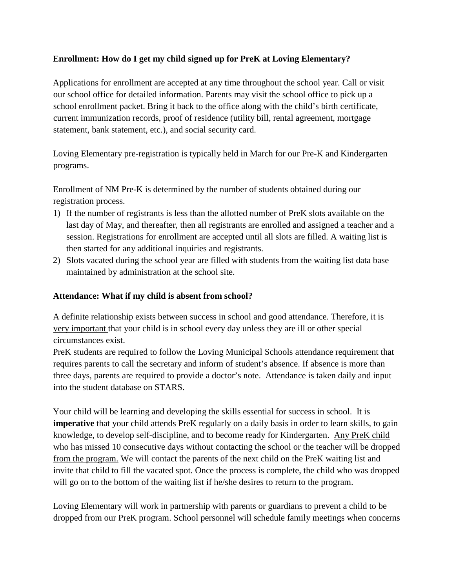## **Enrollment: How do I get my child signed up for PreK at Loving Elementary?**

Applications for enrollment are accepted at any time throughout the school year. Call or visit our school office for detailed information. Parents may visit the school office to pick up a school enrollment packet. Bring it back to the office along with the child's birth certificate, current immunization records, proof of residence (utility bill, rental agreement, mortgage statement, bank statement, etc.), and social security card.

Loving Elementary pre-registration is typically held in March for our Pre-K and Kindergarten programs.

Enrollment of NM Pre-K is determined by the number of students obtained during our registration process.

- 1) If the number of registrants is less than the allotted number of PreK slots available on the last day of May, and thereafter, then all registrants are enrolled and assigned a teacher and a session. Registrations for enrollment are accepted until all slots are filled. A waiting list is then started for any additional inquiries and registrants.
- 2) Slots vacated during the school year are filled with students from the waiting list data base maintained by administration at the school site.

#### **Attendance: What if my child is absent from school?**

A definite relationship exists between success in school and good attendance. Therefore, it is very important that your child is in school every day unless they are ill or other special circumstances exist.

PreK students are required to follow the Loving Municipal Schools attendance requirement that requires parents to call the secretary and inform of student's absence. If absence is more than three days, parents are required to provide a doctor's note. Attendance is taken daily and input into the student database on STARS.

Your child will be learning and developing the skills essential for success in school. It is **imperative** that your child attends PreK regularly on a daily basis in order to learn skills, to gain knowledge, to develop self-discipline, and to become ready for Kindergarten. Any PreK child who has missed 10 consecutive days without contacting the school or the teacher will be dropped from the program. We will contact the parents of the next child on the PreK waiting list and invite that child to fill the vacated spot. Once the process is complete, the child who was dropped will go on to the bottom of the waiting list if he/she desires to return to the program.

Loving Elementary will work in partnership with parents or guardians to prevent a child to be dropped from our PreK program. School personnel will schedule family meetings when concerns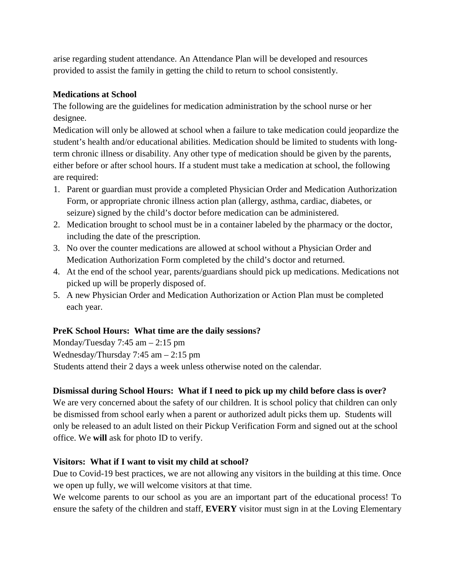arise regarding student attendance. An Attendance Plan will be developed and resources provided to assist the family in getting the child to return to school consistently.

## **Medications at School**

The following are the guidelines for medication administration by the school nurse or her designee.

Medication will only be allowed at school when a failure to take medication could jeopardize the student's health and/or educational abilities. Medication should be limited to students with longterm chronic illness or disability. Any other type of medication should be given by the parents, either before or after school hours. If a student must take a medication at school, the following are required:

- 1. Parent or guardian must provide a completed Physician Order and Medication Authorization Form, or appropriate chronic illness action plan (allergy, asthma, cardiac, diabetes, or seizure) signed by the child's doctor before medication can be administered.
- 2. Medication brought to school must be in a container labeled by the pharmacy or the doctor, including the date of the prescription.
- 3. No over the counter medications are allowed at school without a Physician Order and Medication Authorization Form completed by the child's doctor and returned.
- 4. At the end of the school year, parents/guardians should pick up medications. Medications not picked up will be properly disposed of.
- 5. A new Physician Order and Medication Authorization or Action Plan must be completed each year.

## **PreK School Hours: What time are the daily sessions?**

Monday/Tuesday 7:45 am – 2:15 pm Wednesday/Thursday 7:45 am – 2:15 pm Students attend their 2 days a week unless otherwise noted on the calendar.

## **Dismissal during School Hours: What if I need to pick up my child before class is over?**

We are very concerned about the safety of our children. It is school policy that children can only be dismissed from school early when a parent or authorized adult picks them up. Students will only be released to an adult listed on their Pickup Verification Form and signed out at the school office. We **will** ask for photo ID to verify.

## **Visitors: What if I want to visit my child at school?**

Due to Covid-19 best practices, we are not allowing any visitors in the building at this time. Once we open up fully, we will welcome visitors at that time.

We welcome parents to our school as you are an important part of the educational process! To ensure the safety of the children and staff, **EVERY** visitor must sign in at the Loving Elementary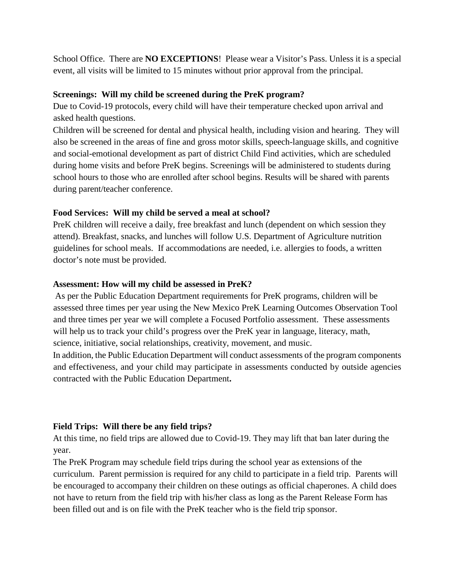School Office. There are **NO EXCEPTIONS**! Please wear a Visitor's Pass. Unless it is a special event, all visits will be limited to 15 minutes without prior approval from the principal.

#### **Screenings: Will my child be screened during the PreK program?**

Due to Covid-19 protocols, every child will have their temperature checked upon arrival and asked health questions.

Children will be screened for dental and physical health, including vision and hearing. They will also be screened in the areas of fine and gross motor skills, speech-language skills, and cognitive and social-emotional development as part of district Child Find activities, which are scheduled during home visits and before PreK begins. Screenings will be administered to students during school hours to those who are enrolled after school begins. Results will be shared with parents during parent/teacher conference.

## **Food Services: Will my child be served a meal at school?**

PreK children will receive a daily, free breakfast and lunch (dependent on which session they attend). Breakfast, snacks, and lunches will follow U.S. Department of Agriculture nutrition guidelines for school meals. If accommodations are needed, i.e. allergies to foods, a written doctor's note must be provided.

## **Assessment: How will my child be assessed in PreK?**

As per the Public Education Department requirements for PreK programs, children will be assessed three times per year using the New Mexico PreK Learning Outcomes Observation Tool and three times per year we will complete a Focused Portfolio assessment. These assessments will help us to track your child's progress over the PreK year in language, literacy, math, science, initiative, social relationships, creativity, movement, and music.

In addition, the Public Education Department will conduct assessments of the program components and effectiveness, and your child may participate in assessments conducted by outside agencies contracted with the Public Education Department**.**

## **Field Trips: Will there be any field trips?**

At this time, no field trips are allowed due to Covid-19. They may lift that ban later during the year.

The PreK Program may schedule field trips during the school year as extensions of the curriculum. Parent permission is required for any child to participate in a field trip. Parents will be encouraged to accompany their children on these outings as official chaperones. A child does not have to return from the field trip with his/her class as long as the Parent Release Form has been filled out and is on file with the PreK teacher who is the field trip sponsor.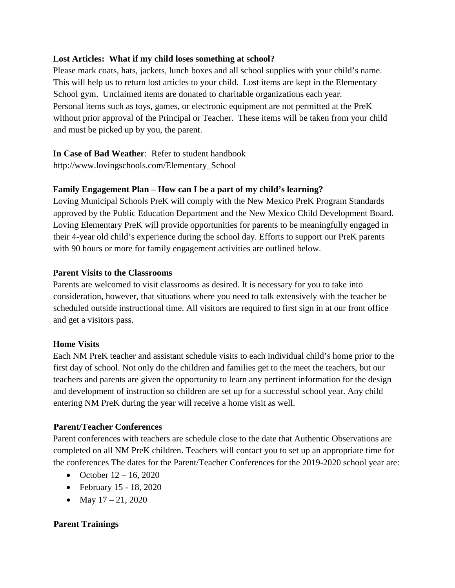#### **Lost Articles: What if my child loses something at school?**

Please mark coats, hats, jackets, lunch boxes and all school supplies with your child's name. This will help us to return lost articles to your child. Lost items are kept in the Elementary School gym. Unclaimed items are donated to charitable organizations each year. Personal items such as toys, games, or electronic equipment are not permitted at the PreK without prior approval of the Principal or Teacher. These items will be taken from your child and must be picked up by you, the parent.

**In Case of Bad Weather**: Refer to student handbook

http://www.lovingschools.com/Elementary\_School

#### **Family Engagement Plan – How can I be a part of my child's learning?**

Loving Municipal Schools PreK will comply with the New Mexico PreK Program Standards approved by the Public Education Department and the New Mexico Child Development Board. Loving Elementary PreK will provide opportunities for parents to be meaningfully engaged in their 4-year old child's experience during the school day. Efforts to support our PreK parents with 90 hours or more for family engagement activities are outlined below.

#### **Parent Visits to the Classrooms**

Parents are welcomed to visit classrooms as desired. It is necessary for you to take into consideration, however, that situations where you need to talk extensively with the teacher be scheduled outside instructional time. All visitors are required to first sign in at our front office and get a visitors pass.

#### **Home Visits**

Each NM PreK teacher and assistant schedule visits to each individual child's home prior to the first day of school. Not only do the children and families get to the meet the teachers, but our teachers and parents are given the opportunity to learn any pertinent information for the design and development of instruction so children are set up for a successful school year. Any child entering NM PreK during the year will receive a home visit as well.

#### **Parent/Teacher Conferences**

Parent conferences with teachers are schedule close to the date that Authentic Observations are completed on all NM PreK children. Teachers will contact you to set up an appropriate time for the conferences The dates for the Parent/Teacher Conferences for the 2019-2020 school year are:

- October  $12 16$ , 2020
- February 15 18, 2020
- May  $17 21$ , 2020

#### **Parent Trainings**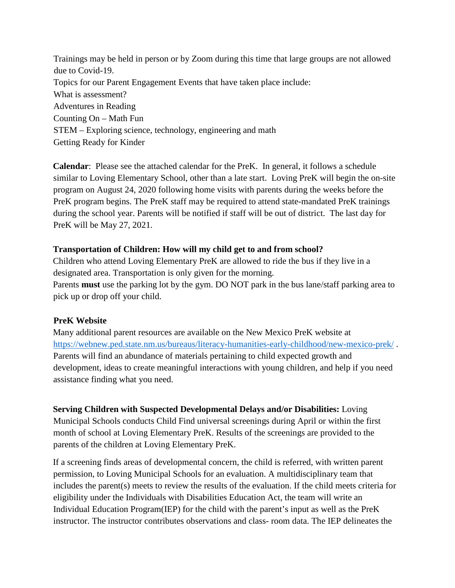Trainings may be held in person or by Zoom during this time that large groups are not allowed due to Covid-19. Topics for our Parent Engagement Events that have taken place include: What is assessment? Adventures in Reading Counting On – Math Fun STEM – Exploring science, technology, engineering and math Getting Ready for Kinder

**Calendar**: Please see the attached calendar for the PreK. In general, it follows a schedule similar to Loving Elementary School, other than a late start. Loving PreK will begin the on-site program on August 24, 2020 following home visits with parents during the weeks before the PreK program begins. The PreK staff may be required to attend state-mandated PreK trainings during the school year. Parents will be notified if staff will be out of district. The last day for PreK will be May 27, 2021.

#### **Transportation of Children: How will my child get to and from school?**

Children who attend Loving Elementary PreK are allowed to ride the bus if they live in a designated area. Transportation is only given for the morning. Parents **must** use the parking lot by the gym. DO NOT park in the bus lane/staff parking area to pick up or drop off your child.

#### **PreK Website**

Many additional parent resources are available on the New Mexico PreK website at <https://webnew.ped.state.nm.us/bureaus/literacy-humanities-early-childhood/new-mexico-prek/> . Parents will find an abundance of materials pertaining to child expected growth and development, ideas to create meaningful interactions with young children, and help if you need assistance finding what you need.

**Serving Children with Suspected Developmental Delays and/or Disabilities:** Loving Municipal Schools conducts Child Find universal screenings during April or within the first month of school at Loving Elementary PreK. Results of the screenings are provided to the parents of the children at Loving Elementary PreK.

If a screening finds areas of developmental concern, the child is referred, with written parent permission, to Loving Municipal Schools for an evaluation. A multidisciplinary team that includes the parent(s) meets to review the results of the evaluation. If the child meets criteria for eligibility under the Individuals with Disabilities Education Act, the team will write an Individual Education Program(IEP) for the child with the parent's input as well as the PreK instructor. The instructor contributes observations and class- room data. The IEP delineates the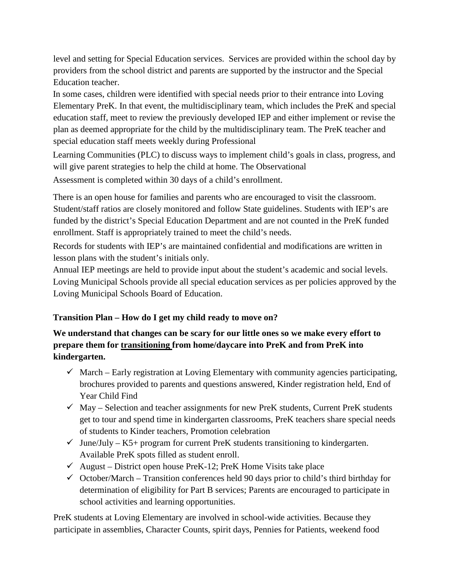level and setting for Special Education services. Services are provided within the school day by providers from the school district and parents are supported by the instructor and the Special Education teacher.

In some cases, children were identified with special needs prior to their entrance into Loving Elementary PreK. In that event, the multidisciplinary team, which includes the PreK and special education staff, meet to review the previously developed IEP and either implement or revise the plan as deemed appropriate for the child by the multidisciplinary team. The PreK teacher and special education staff meets weekly during Professional

Learning Communities (PLC) to discuss ways to implement child's goals in class, progress, and will give parent strategies to help the child at home. The Observational Assessment is completed within 30 days of a child's enrollment.

There is an open house for families and parents who are encouraged to visit the classroom. Student/staff ratios are closely monitored and follow State guidelines. Students with IEP's are funded by the district's Special Education Department and are not counted in the PreK funded enrollment. Staff is appropriately trained to meet the child's needs.

Records for students with IEP's are maintained confidential and modifications are written in lesson plans with the student's initials only.

Annual IEP meetings are held to provide input about the student's academic and social levels. Loving Municipal Schools provide all special education services as per policies approved by the Loving Municipal Schools Board of Education.

## **Transition Plan – How do I get my child ready to move on?**

## **We understand that changes can be scary for our little ones so we make every effort to prepare them for transitioning from home/daycare into PreK and from PreK into kindergarten.**

- $\checkmark$  March Early registration at Loving Elementary with community agencies participating, brochures provided to parents and questions answered, Kinder registration held, End of Year Child Find
- $\checkmark$  May Selection and teacher assignments for new PreK students, Current PreK students get to tour and spend time in kindergarten classrooms, PreK teachers share special needs of students to Kinder teachers, Promotion celebration
- $\checkmark$  June/July K5+ program for current PreK students transitioning to kindergarten. Available PreK spots filled as student enroll.
- $\checkmark$  August District open house PreK-12; PreK Home Visits take place
- $\checkmark$  October/March Transition conferences held 90 days prior to child's third birthday for determination of eligibility for Part B services; Parents are encouraged to participate in school activities and learning opportunities.

PreK students at Loving Elementary are involved in school-wide activities. Because they participate in assemblies, Character Counts, spirit days, Pennies for Patients, weekend food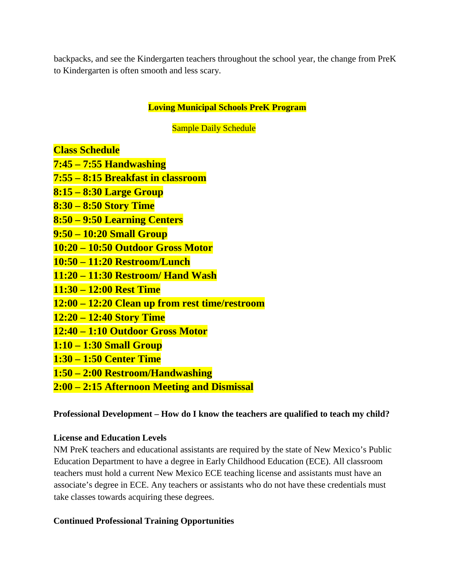backpacks, and see the Kindergarten teachers throughout the school year, the change from PreK to Kindergarten is often smooth and less scary.

#### **Loving Municipal Schools PreK Program**

Sample Daily Schedule

**Class Schedule**

- **7:45 – 7:55 Handwashing**
- **7:55 – 8:15 Breakfast in classroom**
- **8:15 – 8:30 Large Group**
- **8:30 – 8:50 Story Time**
- **8:50 – 9:50 Learning Centers**
- **9:50 – 10:20 Small Group**
- **10:20 – 10:50 Outdoor Gross Motor**
- **10:50 – 11:20 Restroom/Lunch**
- **11:20 – 11:30 Restroom/ Hand Wash**
- **11:30 – 12:00 Rest Time**
- **12:00 – 12:20 Clean up from rest time/restroom**
- **12:20 – 12:40 Story Time**
- **12:40 – 1:10 Outdoor Gross Motor**
- **1:10 – 1:30 Small Group**
- **1:30 – 1:50 Center Time**
- **1:50 – 2:00 Restroom/Handwashing**
- **2:00 – 2:15 Afternoon Meeting and Dismissal**

## **Professional Development – How do I know the teachers are qualified to teach my child?**

## **License and Education Levels**

NM PreK teachers and educational assistants are required by the state of New Mexico's Public Education Department to have a degree in Early Childhood Education (ECE). All classroom teachers must hold a current New Mexico ECE teaching license and assistants must have an associate's degree in ECE. Any teachers or assistants who do not have these credentials must take classes towards acquiring these degrees.

## **Continued Professional Training Opportunities**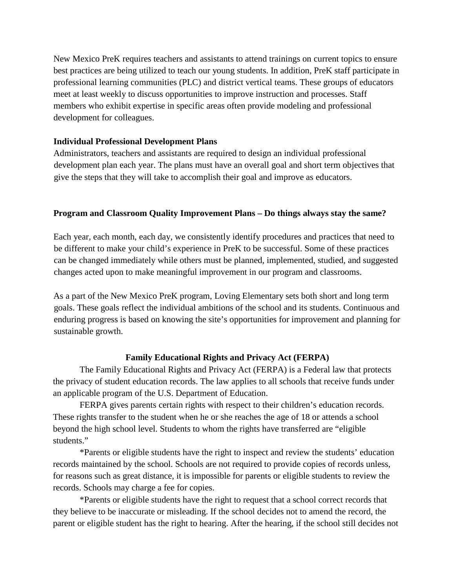New Mexico PreK requires teachers and assistants to attend trainings on current topics to ensure best practices are being utilized to teach our young students. In addition, PreK staff participate in professional learning communities (PLC) and district vertical teams. These groups of educators meet at least weekly to discuss opportunities to improve instruction and processes. Staff members who exhibit expertise in specific areas often provide modeling and professional development for colleagues.

#### **Individual Professional Development Plans**

Administrators, teachers and assistants are required to design an individual professional development plan each year. The plans must have an overall goal and short term objectives that give the steps that they will take to accomplish their goal and improve as educators.

#### **Program and Classroom Quality Improvement Plans – Do things always stay the same?**

Each year, each month, each day, we consistently identify procedures and practices that need to be different to make your child's experience in PreK to be successful. Some of these practices can be changed immediately while others must be planned, implemented, studied, and suggested changes acted upon to make meaningful improvement in our program and classrooms.

As a part of the New Mexico PreK program, Loving Elementary sets both short and long term goals. These goals reflect the individual ambitions of the school and its students. Continuous and enduring progress is based on knowing the site's opportunities for improvement and planning for sustainable growth.

#### **Family Educational Rights and Privacy Act (FERPA)**

The Family Educational Rights and Privacy Act (FERPA) is a Federal law that protects the privacy of student education records. The law applies to all schools that receive funds under an applicable program of the U.S. Department of Education.

FERPA gives parents certain rights with respect to their children's education records. These rights transfer to the student when he or she reaches the age of 18 or attends a school beyond the high school level. Students to whom the rights have transferred are "eligible students."

\*Parents or eligible students have the right to inspect and review the students' education records maintained by the school. Schools are not required to provide copies of records unless, for reasons such as great distance, it is impossible for parents or eligible students to review the records. Schools may charge a fee for copies.

\*Parents or eligible students have the right to request that a school correct records that they believe to be inaccurate or misleading. If the school decides not to amend the record, the parent or eligible student has the right to hearing. After the hearing, if the school still decides not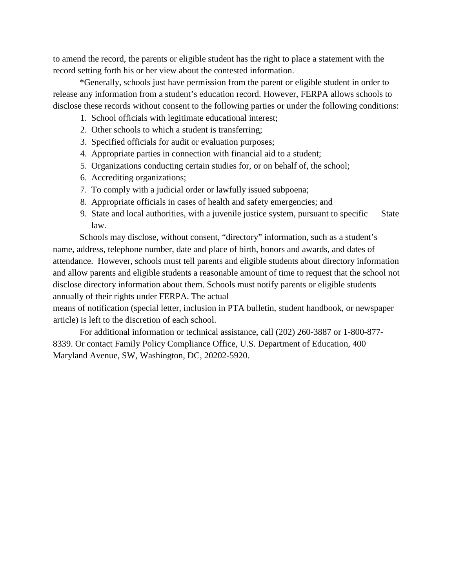to amend the record, the parents or eligible student has the right to place a statement with the record setting forth his or her view about the contested information.

\*Generally, schools just have permission from the parent or eligible student in order to release any information from a student's education record. However, FERPA allows schools to disclose these records without consent to the following parties or under the following conditions:

- 1. School officials with legitimate educational interest;
- 2. Other schools to which a student is transferring;
- 3. Specified officials for audit or evaluation purposes;
- 4. Appropriate parties in connection with financial aid to a student;
- 5. Organizations conducting certain studies for, or on behalf of, the school;
- 6. Accrediting organizations;
- 7. To comply with a judicial order or lawfully issued subpoena;
- 8. Appropriate officials in cases of health and safety emergencies; and
- 9. State and local authorities, with a juvenile justice system, pursuant to specific State law.

Schools may disclose, without consent, "directory" information, such as a student's name, address, telephone number, date and place of birth, honors and awards, and dates of attendance. However, schools must tell parents and eligible students about directory information and allow parents and eligible students a reasonable amount of time to request that the school not disclose directory information about them. Schools must notify parents or eligible students annually of their rights under FERPA. The actual

means of notification (special letter, inclusion in PTA bulletin, student handbook, or newspaper article) is left to the discretion of each school.

For additional information or technical assistance, call (202) 260-3887 or 1-800-877- 8339. Or contact Family Policy Compliance Office, U.S. Department of Education, 400 Maryland Avenue, SW, Washington, DC, 20202-5920.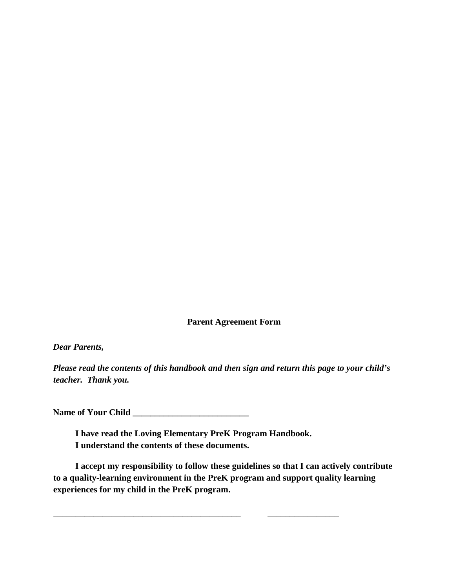**Parent Agreement Form**

*Dear Parents,* 

*Please read the contents of this handbook and then sign and return this page to your child's teacher. Thank you.* 

**Name of Your Child \_\_\_\_\_\_\_\_\_\_\_\_\_\_\_\_\_\_\_\_\_\_\_\_\_\_** 

 **I have read the Loving Elementary PreK Program Handbook. I understand the contents of these documents.** 

\_\_\_\_\_\_\_\_\_\_\_\_\_\_\_\_\_\_\_\_\_\_\_\_\_\_\_\_\_\_\_\_\_\_\_\_\_\_\_\_\_\_ \_\_\_\_\_\_\_\_\_\_\_\_\_\_\_\_

 **I accept my responsibility to follow these guidelines so that I can actively contribute to a quality-learning environment in the PreK program and support quality learning experiences for my child in the PreK program.**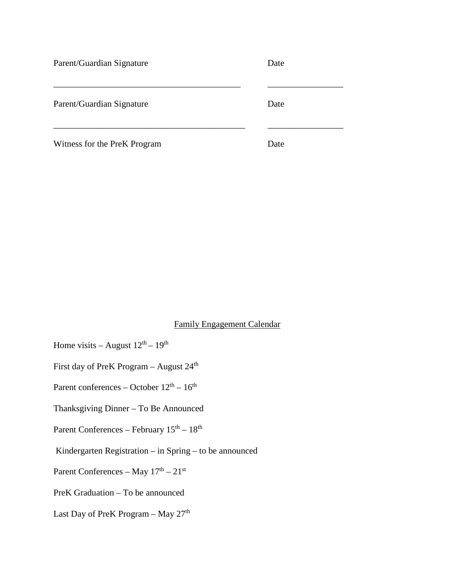| Parent/Guardian Signature    | Date |
|------------------------------|------|
| Parent/Guardian Signature    | Date |
| Witness for the PreK Program | Date |

## Family Engagement Calendar

- Home visits August  $12^{th}$   $19^{th}$
- First day of PreK Program August 24<sup>th</sup>
- Parent conferences October  $12^{th}$   $16^{th}$
- Thanksgiving Dinner To Be Announced
- Parent Conferences February  $15^{th} 18^{th}$
- Kindergarten Registration in Spring to be announced
- Parent Conferences May  $17<sup>th</sup> 21<sup>st</sup>$
- PreK Graduation To be announced
- Last Day of PreK Program May 27<sup>th</sup>